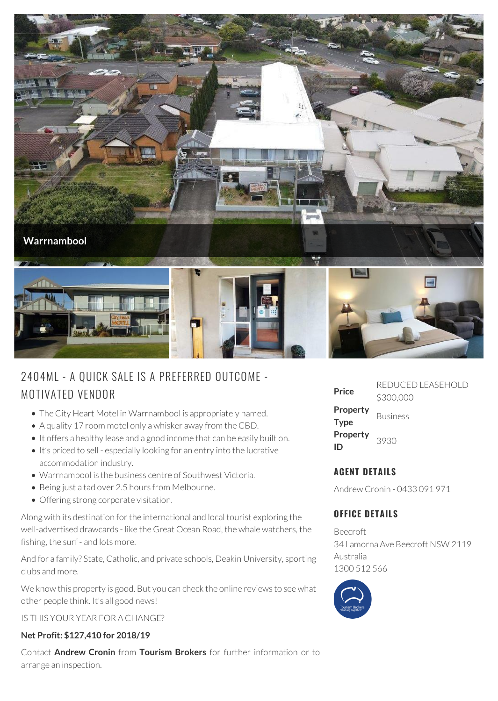

# 2404ML - A QUICK SALE IS A PREFERRED OUTCOME - MOTIVATED VENDOR

- The City Heart Motel in Warrnambool is appropriately named.
- A quality 17 room motel only a whisker away from the CBD.
- It offers a healthy lease and a good income that can be easily built on.
- It's priced to sell especially looking for an entry into the lucrative accommodation industry.
- Warrnambool is the business centre of Southwest Victoria.
- Being just a tad over 2.5 hours from Melbourne.
- Offering strong corporate visitation.

Along with its destination for the international and local tourist exploring the well-advertised drawcards - like the Great Ocean Road, the whale watchers, the fishing, the surf - and lots more.

And for a family? State, Catholic, and private schools, Deakin University, sporting clubs and more.

We know this property is good. But you can check the online reviews to see what other people think. It's all good news!

IS THIS YOUR YEAR FOR A CHANGE?

#### **Net Profit: \$127,410 for 2018/19**

Contact **Andrew Cronin** from **Tourism Brokers** for further information or to arrange an inspection.

| Price                   | REDUCED LEASEHOLD<br>\$300,000 |
|-------------------------|--------------------------------|
| Property<br><b>Type</b> | <b>Business</b>                |
| Property<br>ID          | 3930                           |

## **AGENT DETAILS**

Andrew Cronin - 0433 091 971

### **OFFICE DETAILS**

Beecroft 34 Lamorna Ave Beecroft NSW 2119 Australia 1300 512 566